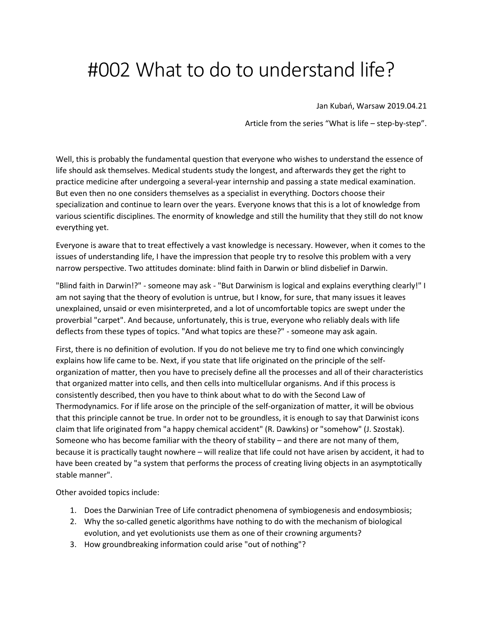## #002 What to do to understand life?

Jan Kubań, Warsaw 2019.04.21

Article from the series "What is life – step-by-step".

Well, this is probably the fundamental question that everyone who wishes to understand the essence of life should ask themselves. Medical students study the longest, and afterwards they get the right to practice medicine after undergoing a several-year internship and passing a state medical examination. But even then no one considers themselves as a specialist in everything. Doctors choose their specialization and continue to learn over the years. Everyone knows that this is a lot of knowledge from various scientific disciplines. The enormity of knowledge and still the humility that they still do not know everything yet.

Everyone is aware that to treat effectively a vast knowledge is necessary. However, when it comes to the issues of understanding life, I have the impression that people try to resolve this problem with a very narrow perspective. Two attitudes dominate: blind faith in Darwin or blind disbelief in Darwin.

"Blind faith in Darwin!?" - someone may ask - "But Darwinism is logical and explains everything clearly!" I am not saying that the theory of evolution is untrue, but I know, for sure, that many issues it leaves unexplained, unsaid or even misinterpreted, and a lot of uncomfortable topics are swept under the proverbial "carpet". And because, unfortunately, this is true, everyone who reliably deals with life deflects from these types of topics. "And what topics are these?" - someone may ask again.

First, there is no definition of evolution. If you do not believe me try to find one which convincingly explains how life came to be. Next, if you state that life originated on the principle of the selforganization of matter, then you have to precisely define all the processes and all of their characteristics that organized matter into cells, and then cells into multicellular organisms. And if this process is consistently described, then you have to think about what to do with the Second Law of Thermodynamics. For if life arose on the principle of the self-organization of matter, it will be obvious that this principle cannot be true. In order not to be groundless, it is enough to say that Darwinist icons claim that life originated from "a happy chemical accident" (R. Dawkins) or "somehow" (J. Szostak). Someone who has become familiar with the theory of stability – and there are not many of them, because it is practically taught nowhere – will realize that life could not have arisen by accident, it had to have been created by "a system that performs the process of creating living objects in an asymptotically stable manner".

Other avoided topics include:

- 1. Does the Darwinian Tree of Life contradict phenomena of symbiogenesis and endosymbiosis;
- 2. Why the so-called genetic algorithms have nothing to do with the mechanism of biological evolution, and yet evolutionists use them as one of their crowning arguments?
- 3. How groundbreaking information could arise "out of nothing"?